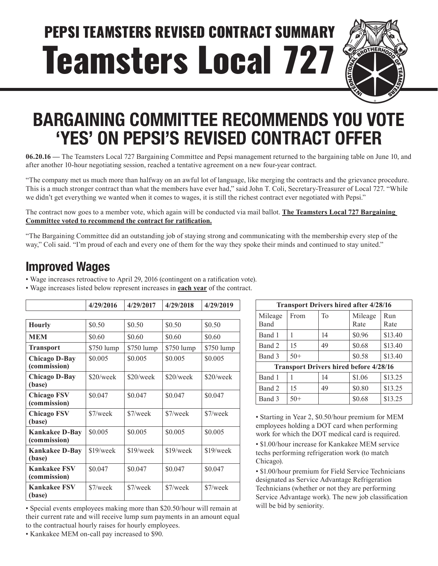# Teamsters Local 727 PEPSI TEAMSTERS REVISED CONTRACT SUMMARY



# **BARGAINING COMMITTEE RECOMMENDS YOU VOTE 'YES' ON PEPSI'S REVISED CONTRACT OFFER**

**06.20.16 —** The Teamsters Local 727 Bargaining Committee and Pepsi management returned to the bargaining table on June 10, and after another 10-hour negotiating session, reached a tentative agreement on a new four-year contract.

"The company met us much more than halfway on an awful lot of language, like merging the contracts and the grievance procedure. This is a much stronger contract than what the members have ever had," said John T. Coli, Secretary-Treasurer of Local 727. "While we didn't get everything we wanted when it comes to wages, it is still the richest contract ever negotiated with Pepsi."

The contract now goes to a member vote, which again will be conducted via mail ballot. **The Teamsters Local 727 Bargaining Committee voted to recommend the contract for ratification.**

"The Bargaining Committee did an outstanding job of staying strong and communicating with the membership every step of the way," Coli said. "I'm proud of each and every one of them for the way they spoke their minds and continued to stay united."

#### **Improved Wages**

• Wage increases retroactive to April 29, 2016 (contingent on a ratification vote).

• Wage increases listed below represent increases in **each year** of the contract.

|                                       | 4/29/2016   | 4/29/2017   | 4/29/2018   | 4/29/2019  |  |
|---------------------------------------|-------------|-------------|-------------|------------|--|
|                                       |             |             |             |            |  |
| <b>Hourly</b>                         | \$0.50      | \$0.50      | \$0.50      | \$0.50     |  |
| <b>MEM</b>                            | \$0.60      | \$0.60      | \$0.60      | \$0.60     |  |
| <b>Transport</b>                      | \$750 lump  | \$750 lump  | \$750 lump  | \$750 lump |  |
| <b>Chicago D-Bay</b><br>(commission)  | \$0.005     | \$0.005     | \$0.005     | \$0.005    |  |
| <b>Chicago D-Bay</b><br>(base)        | \$20/week   | \$20/week   | \$20/week   | \$20/week  |  |
| <b>Chicago FSV</b><br>(commission)    | \$0.047     | \$0.047     | \$0.047     | \$0.047    |  |
| <b>Chicago FSV</b><br>(base)          | \$7/week    | \$7/week    | $$7$ /week  | $$7$ /week |  |
| <b>Kankakee D-Bay</b><br>(commission) | \$0.005     | \$0.005     | \$0.005     | \$0.005    |  |
| <b>Kankakee D-Bay</b><br>(base)       | $$19$ /week | $$19$ /week | $$19$ /week | \$19/week  |  |
| <b>Kankakee FSV</b><br>(commission)   | \$0.047     | \$0.047     | \$0.047     | \$0.047    |  |
| <b>Kankakee FSV</b><br>(base)         | \$7/week    |             | $$7$ /week  | \$7/week   |  |

• Special events employees making more than \$20.50/hour will remain at their current rate and will receive lump sum payments in an amount equal to the contractual hourly raises for hourly employees.

**Transport Drivers hired after 4/28/16** Mileage Band From To Mileage Rate Run Rate Band 1 1 14  $\frac{1}{14}$  14  $\frac{1}{100}$  1513.40 Band 2 15 49 \$0.68 \$13.40 Band 3  $\left| 50 + \right|$   $\left| 80.58 \right|$  \  $\left| 813.40 \right|$ **Transport Drivers hired before 4/28/16** Band 1 1 14 \$1.06 \$13.25 Band 2 | 15 |  $\frac{49}{15}$  | \$0.80 | \$13.25  $Band 3 | 50+ | $0.68 | $13.25$ 

• Starting in Year 2, \$0.50/hour premium for MEM employees holding a DOT card when performing work for which the DOT medical card is required.

• \$1.00/hour increase for Kankakee MEM service techs performing refrigeration work (to match Chicago).

• \$1.00/hour premium for Field Service Technicians designated as Service Advantage Refrigeration Technicians (whether or not they are performing Service Advantage work). The new job classification will be bid by seniority.

• Kankakee MEM on-call pay increased to \$90.